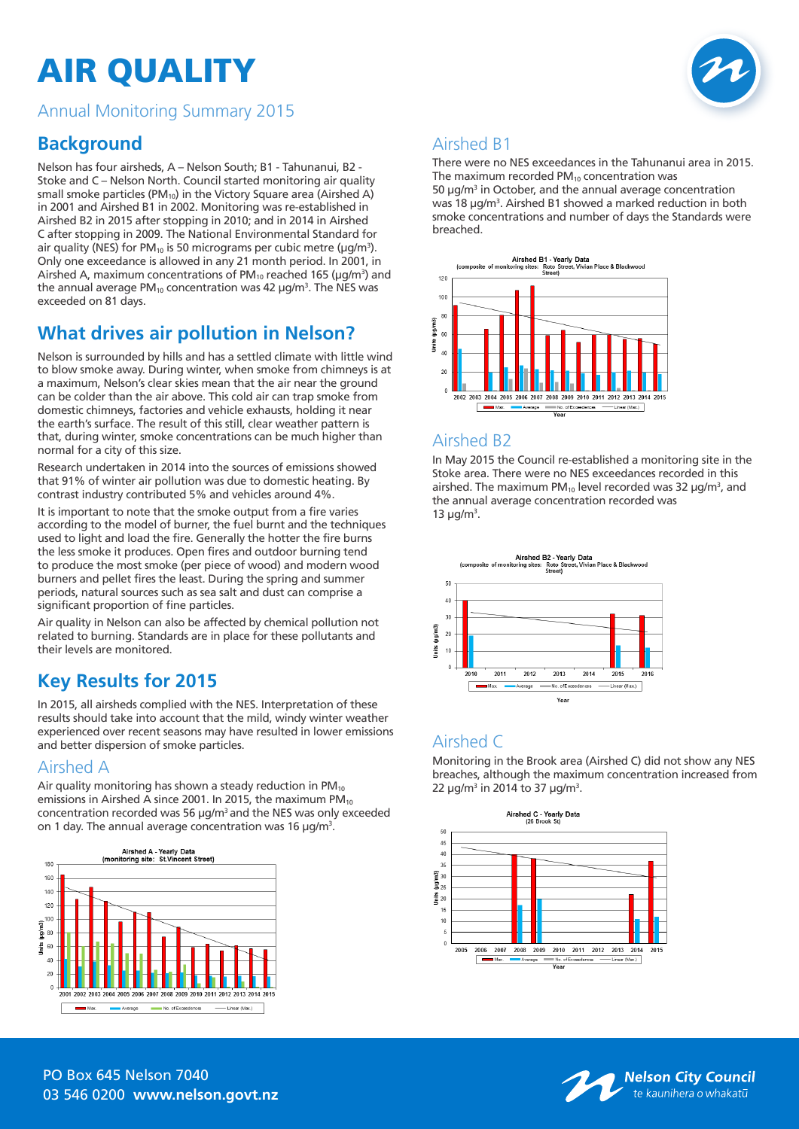# AIR QUALITY

#### Annual Monitoring Summary 2015

# **Background**

Nelson has four airsheds, A – Nelson South; B1 - Tahunanui, B2 - Stoke and C – Nelson North. Council started monitoring air quality small smoke particles (PM $_{10}$ ) in the Victory Square area (Airshed A) in 2001 and Airshed B1 in 2002. Monitoring was re-established in Airshed B2 in 2015 after stopping in 2010; and in 2014 in Airshed C after stopping in 2009. The National Environmental Standard for air quality (NES) for PM<sub>10</sub> is 50 micrograms per cubic metre ( $\mu$ g/m<sup>3</sup>). Only one exceedance is allowed in any 21 month period. In 2001, in Airshed A, maximum concentrations of PM $_{10}$  reached 165 (µg/m<sup>3</sup>) and the annual average PM<sub>10</sub> concentration was 42  $\mu$ g/m<sup>3</sup>. The NES was exceeded on 81 days.

# **What drives air pollution in Nelson?**

Nelson is surrounded by hills and has a settled climate with little wind to blow smoke away. During winter, when smoke from chimneys is at a maximum, Nelson's clear skies mean that the air near the ground can be colder than the air above. This cold air can trap smoke from domestic chimneys, factories and vehicle exhausts, holding it near the earth's surface. The result of this still, clear weather pattern is that, during winter, smoke concentrations can be much higher than normal for a city of this size.

Research undertaken in 2014 into the sources of emissions showed that 91% of winter air pollution was due to domestic heating. By contrast industry contributed 5% and vehicles around 4%.

It is important to note that the smoke output from a fire varies according to the model of burner, the fuel burnt and the techniques used to light and load the fire. Generally the hotter the fire burns the less smoke it produces. Open fires and outdoor burning tend to produce the most smoke (per piece of wood) and modern wood burners and pellet fires the least. During the spring and summer periods, natural sources such as sea salt and dust can comprise a significant proportion of fine particles.

Air quality in Nelson can also be affected by chemical pollution not related to burning. Standards are in place for these pollutants and their levels are monitored.

# **Key Results for 2015**

In 2015, all airsheds complied with the NES. Interpretation of these results should take into account that the mild, windy winter weather experienced over recent seasons may have resulted in lower emissions and better dispersion of smoke particles.

#### Airshed A

Air quality monitoring has shown a steady reduction in  $PM_{10}$ emissions in Airshed A since 2001. In 2015, the maximum PM<sub>10</sub> concentration recorded was 56 µg/m3 and the NES was only exceeded on 1 day. The annual average concentration was 16  $\mu$ g/m<sup>3</sup>.





#### Airshed B1

There were no NES exceedances in the Tahunanui area in 2015. The maximum recorded  $PM_{10}$  concentration was

 $50 \mu g/m<sup>3</sup>$  in October, and the annual average concentration was 18 µg/m<sup>3</sup>. Airshed B1 showed a marked reduction in both smoke concentrations and number of days the Standards were breached.



#### Airshed B2

In May 2015 the Council re-established a monitoring site in the Stoke area. There were no NES exceedances recorded in this airshed. The maximum PM $_{10}$  level recorded was 32  $\mu$ g/m<sup>3</sup>, and the annual average concentration recorded was 13  $\mu$ g/m<sup>3</sup>.



#### Airshed C

Monitoring in the Brook area (Airshed C) did not show any NES breaches, although the maximum concentration increased from 22  $\mu$ g/m<sup>3</sup> in 2014 to 37  $\mu$ g/m<sup>3</sup>.